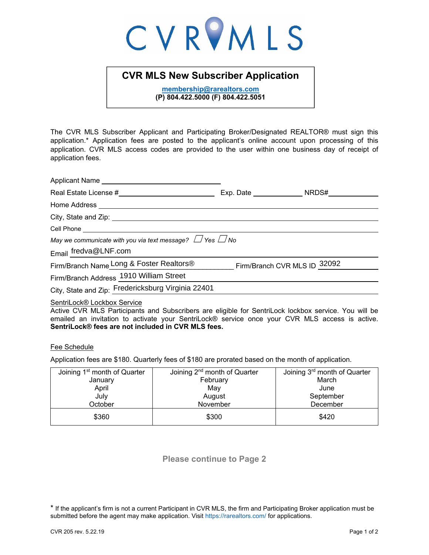# CVRVMLS

## **CVR MLS New Subscriber Application**

**membership@rarealtors.com (P) 804.422.5000 (F) 804.422.5051** 

The CVR MLS Subscriber Applicant and Participating Broker/Designated REALTOR® must sign this application.\* Application fees are posted to the applicant's online account upon processing of this application. CVR MLS access codes are provided to the user within one business day of receipt of application fees.

| Applicant Name                                                                                                                                                                                                                       |                              |  |
|--------------------------------------------------------------------------------------------------------------------------------------------------------------------------------------------------------------------------------------|------------------------------|--|
|                                                                                                                                                                                                                                      |                              |  |
| Home Address <u>New York and State and State and State and State and State and State and State and State and State and State and State and State and State and State and State and State and State and State and State and State</u> |                              |  |
|                                                                                                                                                                                                                                      |                              |  |
|                                                                                                                                                                                                                                      |                              |  |
| May we communicate with you via text message? $\Box$ Yes $\Box$ No                                                                                                                                                                   |                              |  |
| Email fredva@LNF.com                                                                                                                                                                                                                 |                              |  |
| Firm/Branch Name Long & Foster Realtors®                                                                                                                                                                                             | Firm/Branch CVR MLS ID 32092 |  |
| Firm/Branch Address 1910 William Street                                                                                                                                                                                              |                              |  |
| City, State and Zip: Fredericksburg Virginia 22401                                                                                                                                                                                   |                              |  |
|                                                                                                                                                                                                                                      |                              |  |

### SentriLock® Lockbox Service

Active CVR MLS Participants and Subscribers are eligible for SentriLock lockbox service. You will be emailed an invitation to activate your SentriLock® service once your CVR MLS access is active. **SentriLock® fees are not included in CVR MLS fees.** 

Fee Schedule

Application fees are \$180. Quarterly fees of \$180 are prorated based on the month of application.

| Joining 1 <sup>st</sup> month of Quarter | Joining $2nd$ month of Quarter | Joining 3 <sup>rd</sup> month of Quarter |
|------------------------------------------|--------------------------------|------------------------------------------|
| January                                  | February                       | March                                    |
| April                                    | May                            | June                                     |
| July                                     | August                         | September                                |
| October                                  | November                       | December                                 |
| \$360                                    | \$300                          | \$420                                    |

**Please continue to Page 2**

<sup>\*</sup> If the applicant's firm is not a current Participant in CVR MLS, the firm and Participating Broker application must be submitted before the agent may make application. Visit https://rarealtors.com/ for applications.